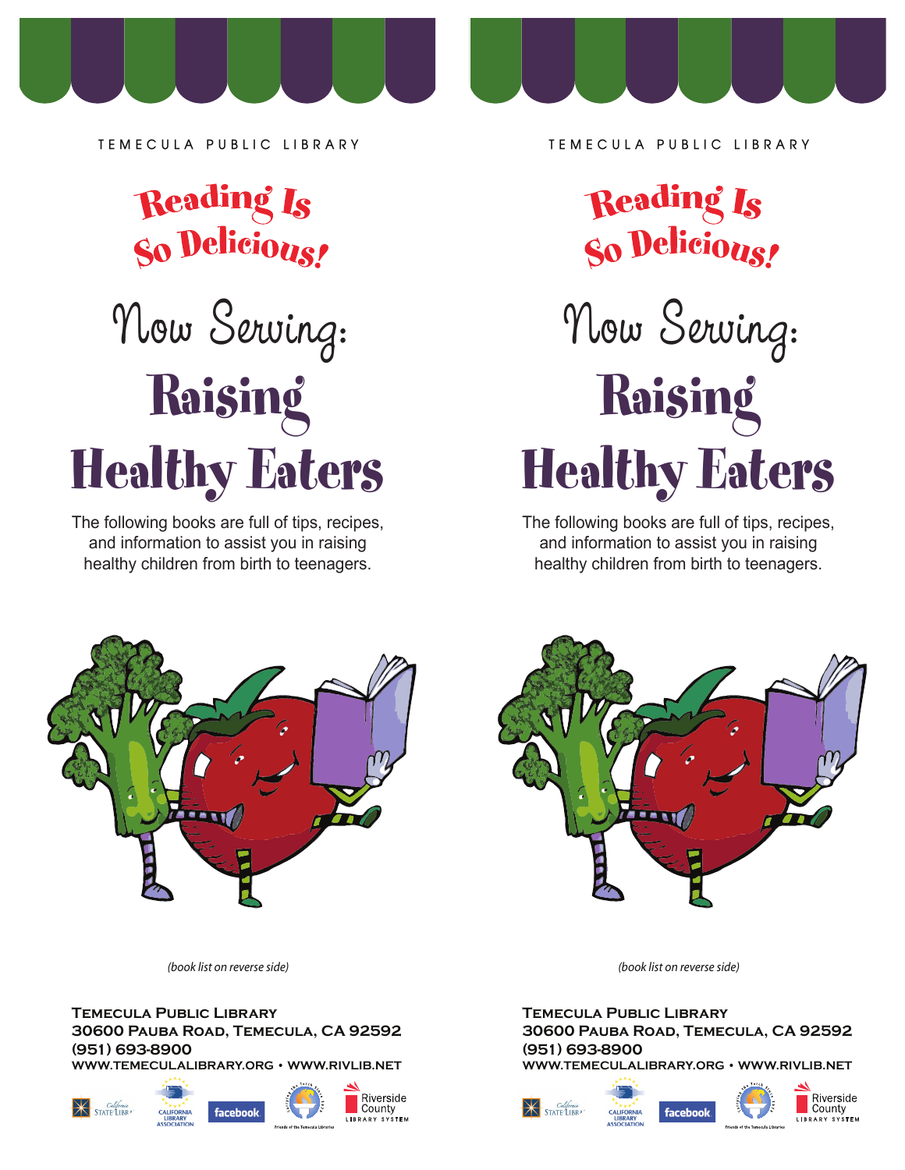

**TEMECULA PUBLIC LIBRARY**



## Now Serving: Raising Healthy Eaters

The following books are full of tips, recipes, and information to assist you in raising healthy children from birth to teenagers.



*(book list on reverse side)*

**Temecula Public Library 30600 Pauba Road, Temecula, CA 92592 (951) 693-8900**  WWW.TEMECULALIBRARY.ORG · WWW.RIVLIB.NET